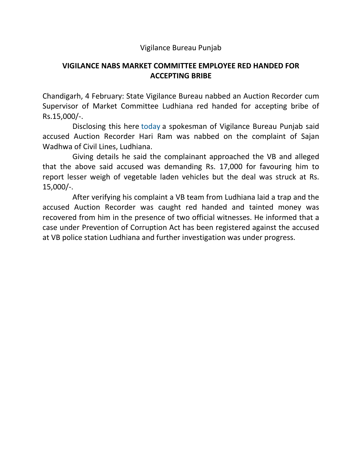## Vigilance Bureau Punjab

## **VIGILANCE NABS MARKET COMMITTEE EMPLOYEE RED HANDED FOR ACCEPTING BRIBE**

Chandigarh, 4 February: State Vigilance Bureau nabbed an Auction Recorder cum Supervisor of Market Committee Ludhiana red handed for accepting bribe of Rs.15,000/-.

 Disclosing this here today a spokesman of Vigilance Bureau Punjab said accused Auction Recorder Hari Ram was nabbed on the complaint of Sajan Wadhwa of Civil Lines, Ludhiana.

 Giving details he said the complainant approached the VB and alleged that the above said accused was demanding Rs. 17,000 for favouring him to report lesser weigh of vegetable laden vehicles but the deal was struck at Rs. 15,000/-.

 After verifying his complaint a VB team from Ludhiana laid a trap and the accused Auction Recorder was caught red handed and tainted money was recovered from him in the presence of two official witnesses. He informed that a case under Prevention of Corruption Act has been registered against the accused at VB police station Ludhiana and further investigation was under progress.